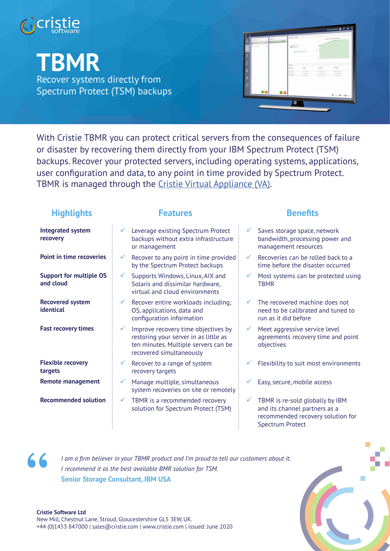

**TBMR**

Recover systems directly from Spectrum Protect (TSM) backups

| $\frac{\Omega}{2}$  | <b>Botto 704</b>           | organi      | Mazdone<br>Company<br>图 2-300 | Ourseau Inchild                           |                         |                 | Timeline (Successful Backups)                    |
|---------------------|----------------------------|-------------|-------------------------------|-------------------------------------------|-------------------------|-----------------|--------------------------------------------------|
|                     | El parviolés<br>Chene site | <b>DATE</b> |                               | PANNE 1212230<br><b>Publish</b> (450) 015 | <b>Blacks Adventure</b> |                 |                                                  |
| ≗                   |                            |             |                               |                                           |                         |                 |                                                  |
| $^{\circ}$          |                            |             |                               | Events                                    |                         |                 |                                                  |
|                     |                            |             |                               | Depotediate                               | <b>Duties</b>           | Start Firm      | End Time                                         |
| å                   |                            |             |                               | CRIPCEAN:                                 | <b>Vitaminist</b>       | 05.042019.10.33 | 00 Jul 2019 10:04                                |
|                     |                            |             |                               | (INV) Boha                                | · Completed             | 05.042019.1049  | 00 Jul 2010 10:00                                |
| $\mathbf{a}$        |                            |             |                               | CENT BOLD                                 | <b>V</b> Company)       | 05-042019-1029  | 03 24 2019 10:42                                 |
| $\frac{1000}{1000}$ |                            |             |                               |                                           |                         |                 |                                                  |
|                     |                            | 876         | $+7-$                         |                                           |                         |                 | <b>N</b> Service <b>N</b> First <b>N</b> Service |
|                     |                            |             |                               |                                           |                         |                 |                                                  |

With Cristie TBMR you can protect critical servers from the consequences of failure or disaster by recovering them directly from your IBM Spectrum Protect (TSM) backups. Recover your protected servers, including operating systems, applications, user configuration and data, to any point in time provided by Spectrum Protect. TBMR is managed through the Cristie Virtual Appliance (VA).

| <b>Highlights</b>                           | <b>Features</b>                                                                                                                                                  | <b>Benefits</b>                                                                                                 |
|---------------------------------------------|------------------------------------------------------------------------------------------------------------------------------------------------------------------|-----------------------------------------------------------------------------------------------------------------|
| <b>Integrated system</b><br>recovery        | Leverage existing Spectrum Protect<br>backups without extra infrastructure<br>or management                                                                      | $\checkmark$<br>Saves storage space, r<br>bandwidth, processing<br>management resource                          |
| <b>Point in time recoveries</b>             | Recover to any point in time provided<br>by the Spectrum Protect backups                                                                                         | ✓<br>Recoveries can be roll<br>time before the disast                                                           |
| <b>Support for multiple OS</b><br>and cloud | Supports Windows, Linux, AIX and<br>✓<br>Solaris and dissimilar hardware,<br>virtual and cloud environments                                                      | $\checkmark$<br>Most systems can be<br><b>TBMR</b>                                                              |
| <b>Recovered system</b><br>identical        | $\checkmark$<br>Recover entire workloads including;<br>OS, applications, data and<br>configuration information                                                   | ✓<br>The recovered machir<br>need to be calibrated<br>run as it did before                                      |
| <b>Fast recovery times</b>                  | Improve recovery time objectives by<br>$\checkmark$<br>restoring your server in as little as<br>ten minutes. Multiple servers can be<br>recovered simultaneously | $\checkmark$<br>Meet aggressive servi<br>agreements recovery<br>objectives                                      |
| <b>Flexible recovery</b><br>targets         | Recover to a range of system<br>✓<br>recovery targets                                                                                                            | Flexibility to suit mos                                                                                         |
| <b>Remote management</b>                    | Manage multiple, simultaneous<br>✓<br>system recoveries on site or remotely                                                                                      | Easy, secure, mobile a                                                                                          |
| <b>Recommended solution</b>                 | TBMR is a recommended recovery<br>✓<br>solution for Spectrum Protect (TSM)                                                                                       | TBMR is re-sold globa<br>$\checkmark$<br>and its channel partn<br>recommended recove<br><b>Spectrum Protect</b> |



*I am a firm believer in your TBMR product and I'm proud to tell our customers about it. I recommend it as the best available BMR solution for TSM.* **Senior Storage Consultant, IBM USA**

- space, network ocessing power and resources
- n be rolled back to a the disaster occurred
- can be protected using
- machine does not librated and tuned to refore
- ive service level ecovery time and point
- wit most environments
- nobile access
- Id globally by IBM el partners as a recovery solution for Spectrum Protect